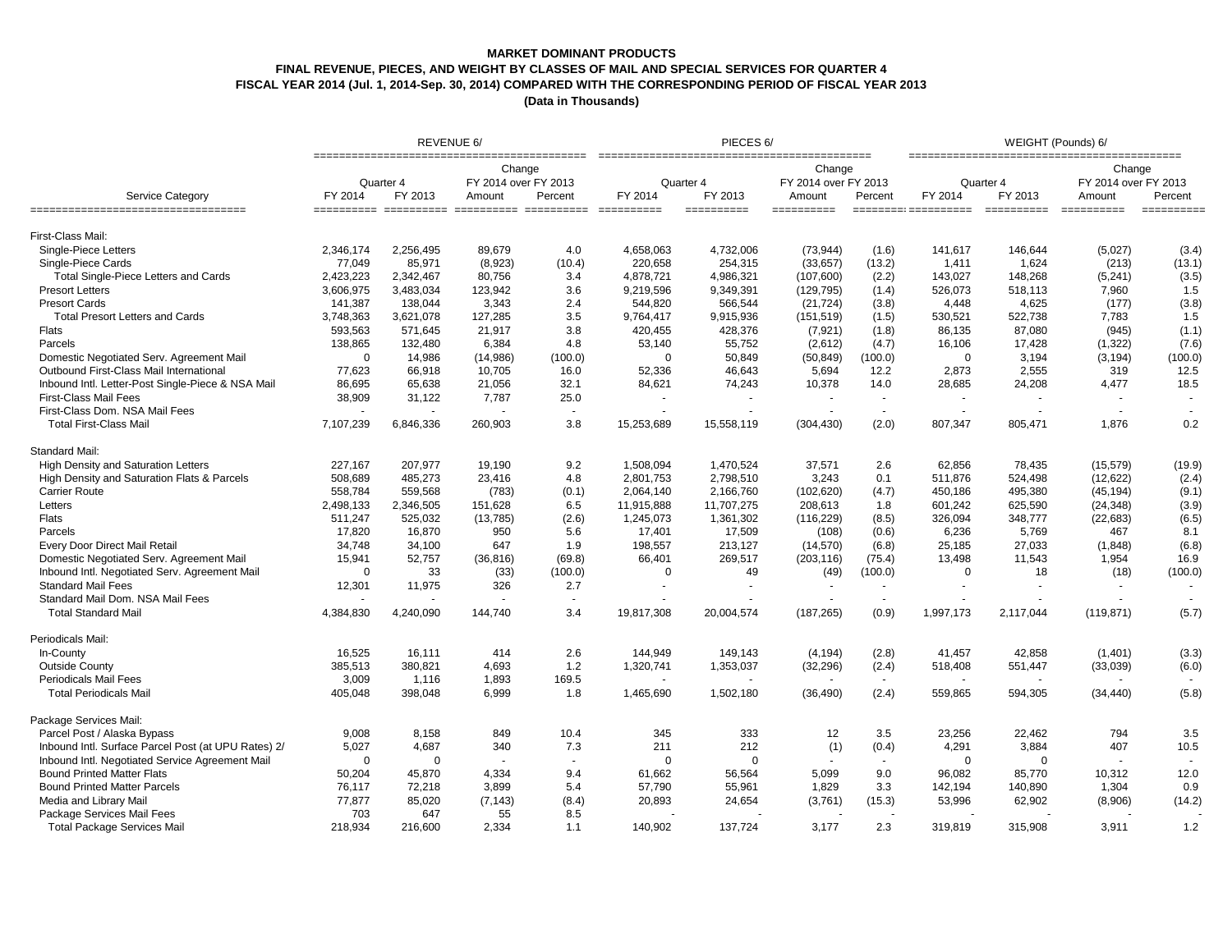### **MARKET DOMINANT PRODUCTS**

## **FINAL REVENUE, PIECES, AND WEIGHT BY CLASSES OF MAIL AND SPECIAL SERVICES FOR QUARTER 4**

**FISCAL YEAR 2014 (Jul. 1, 2014-Sep. 30, 2014) COMPARED WITH THE CORRESPONDING PERIOD OF FISCAL YEAR 2013**

|                                                     | REVENUE 6/  |                      |                                          |                          | PIECES <sub>6</sub> / |                       |                                          |         | WEIGHT (Pounds) 6/              |                        |                                          |                |
|-----------------------------------------------------|-------------|----------------------|------------------------------------------|--------------------------|-----------------------|-----------------------|------------------------------------------|---------|---------------------------------|------------------------|------------------------------------------|----------------|
| <b>Service Category</b>                             | FY 2014     | Quarter 4<br>FY 2013 | Change<br>FY 2014 over FY 2013<br>Amount | Percent                  | Quarter 4<br>FY 2014  | FY 2013               | Change<br>FY 2014 over FY 2013<br>Amount | Percent | Quarter 4<br>FY 2014<br>FY 2013 |                        | Change<br>FY 2014 over FY 2013<br>Amount | Percent        |
| ====================================                |             |                      |                                          |                          |                       | $=$ = = = = = = = = = | $=$ = = = = = = = = = =                  |         | $=$ ========: ===========       | ====================== |                                          |                |
| First-Class Mail:                                   |             |                      |                                          |                          |                       |                       |                                          |         |                                 |                        |                                          |                |
| Single-Piece Letters                                | 2,346,174   | 2,256,495            | 89,679                                   | 4.0                      | 4,658,063             | 4,732,006             | (73, 944)                                | (1.6)   | 141,617                         | 146,644                | (5,027)                                  | (3.4)          |
| Single-Piece Cards                                  | 77,049      | 85,971               | (8,923)                                  | (10.4)                   | 220,658               | 254,315               | (33, 657)                                | (13.2)  | 1,411                           | 1,624                  | (213)                                    | (13.1)         |
| Total Single-Piece Letters and Cards                | 2,423,223   | 2,342,467            | 80,756                                   | 3.4                      | 4,878,721             | 4,986,321             | (107, 600)                               | (2.2)   | 143,027                         | 148,268                | (5, 241)                                 | (3.5)          |
| <b>Presort Letters</b>                              | 3,606,975   | 3,483,034            | 123,942                                  | 3.6                      | 9,219,596             | 9,349,391             | (129, 795)                               | (1.4)   | 526,073                         | 518,113                | 7,960                                    | 1.5            |
| <b>Presort Cards</b>                                | 141,387     | 138,044              | 3,343                                    | 2.4                      | 544,820               | 566,544               | (21, 724)                                | (3.8)   | 4,448                           | 4,625                  | (177)                                    | (3.8)          |
| <b>Total Presort Letters and Cards</b>              | 3,748,363   | 3,621,078            | 127,285                                  | 3.5                      | 9,764,417             | 9,915,936             | (151, 519)                               | (1.5)   | 530,521                         | 522,738                | 7,783                                    | 1.5            |
| Flats                                               | 593,563     | 571,645              | 21,917                                   | 3.8                      | 420,455               | 428,376               | (7, 921)                                 | (1.8)   | 86,135                          | 87,080                 | (945)                                    | (1.1)          |
| Parcels                                             | 138,865     | 132,480              | 6,384                                    | 4.8                      | 53,140                | 55,752                | (2,612)                                  | (4.7)   | 16,106                          | 17,428                 | (1, 322)                                 | (7.6)          |
| Domestic Negotiated Serv. Agreement Mail            | $\mathbf 0$ | 14,986               | (14,986)                                 | (100.0)                  | $\mathbf 0$           | 50,849                | (50, 849)                                | (100.0) | $\overline{0}$                  | 3,194                  | (3, 194)                                 | (100.0)        |
| Outbound First-Class Mail International             | 77,623      | 66,918               | 10,705                                   | 16.0                     | 52,336                | 46,643                | 5,694                                    | 12.2    | 2,873                           | 2,555                  | 319                                      | 12.5           |
| Inbound Intl. Letter-Post Single-Piece & NSA Mail   | 86,695      | 65,638               | 21,056                                   | 32.1                     | 84,621                | 74,243                | 10,378                                   | 14.0    | 28,685                          | 24,208                 | 4,477                                    | 18.5           |
| <b>First-Class Mail Fees</b>                        | 38,909      | 31,122               | 7,787                                    | 25.0                     | $\blacksquare$        |                       |                                          | $\sim$  | $\mathbf{r}$                    |                        |                                          |                |
| First-Class Dom. NSA Mail Fees                      |             |                      |                                          | $\overline{\phantom{a}}$ |                       | ٠                     | $\sim$                                   | $\sim$  | $\sim$                          |                        | $\sim$                                   | $\blacksquare$ |
| <b>Total First-Class Mail</b>                       | 7,107,239   | 6,846,336            | 260,903                                  | 3.8                      | 15,253,689            | 15,558,119            | (304, 430)                               | (2.0)   | 807,347                         | 805,471                | 1,876                                    | 0.2            |
| Standard Mail:                                      |             |                      |                                          |                          |                       |                       |                                          |         |                                 |                        |                                          |                |
| <b>High Density and Saturation Letters</b>          | 227,167     | 207,977              | 19,190                                   | 9.2                      | 1,508,094             | 1,470,524             | 37,571                                   | 2.6     | 62,856                          | 78,435                 | (15, 579)                                | (19.9)         |
| High Density and Saturation Flats & Parcels         | 508,689     | 485,273              | 23,416                                   | 4.8                      | 2,801,753             | 2,798,510             | 3,243                                    | 0.1     | 511,876                         | 524,498                | (12, 622)                                | (2.4)          |
| <b>Carrier Route</b>                                | 558,784     | 559,568              | (783)                                    | (0.1)                    | 2,064,140             | 2,166,760             | (102, 620)                               | (4.7)   | 450,186                         | 495,380                | (45, 194)                                | (9.1)          |
| Letters                                             | 2,498,133   | 2,346,505            | 151,628                                  | 6.5                      | 11,915,888            | 11,707,275            | 208,613                                  | 1.8     | 601,242                         | 625,590                | (24, 348)                                | (3.9)          |
| <b>Flats</b>                                        | 511,247     | 525,032              | (13,785)                                 | (2.6)                    | 1,245,073             | 1,361,302             | (116, 229)                               | (8.5)   | 326,094                         | 348,777                | (22, 683)                                | (6.5)          |
| Parcels                                             | 17,820      | 16,870               | 950                                      | 5.6                      | 17,401                | 17,509                | (108)                                    | (0.6)   | 6,236                           | 5,769                  | 467                                      | 8.1            |
| Every Door Direct Mail Retail                       | 34,748      | 34,100               | 647                                      | 1.9                      | 198,557               | 213,127               | (14, 570)                                | (6.8)   | 25,185                          | 27,033                 | (1,848)                                  | (6.8)          |
| Domestic Negotiated Serv. Agreement Mail            | 15,941      | 52,757               | (36, 816)                                | (69.8)                   | 66,401                | 269,517               | (203, 116)                               | (75.4)  | 13,498                          | 11,543                 | 1,954                                    | 16.9           |
| Inbound Intl. Negotiated Serv. Agreement Mail       | $\mathbf 0$ | 33                   | (33)                                     | (100.0)                  | $\mathbf 0$           | 49                    | (49)                                     | (100.0) | $\Omega$                        | 18                     | (18)                                     | (100.0)        |
| <b>Standard Mail Fees</b>                           | 12,301      | 11,975               | 326                                      | 2.7                      | ÷                     | ÷.                    |                                          | $\sim$  | ÷                               |                        | $\blacksquare$                           |                |
| Standard Mail Dom. NSA Mail Fees                    |             |                      |                                          | $\sim$                   |                       |                       |                                          | $\sim$  |                                 |                        |                                          |                |
| <b>Total Standard Mail</b>                          | 4,384,830   | 4,240,090            | 144,740                                  | 3.4                      | 19,817,308            | 20,004,574            | (187, 265)                               | (0.9)   | 1,997,173                       | 2,117,044              | (119, 871)                               | (5.7)          |
| Periodicals Mail:                                   |             |                      |                                          |                          |                       |                       |                                          |         |                                 |                        |                                          |                |
| In-County                                           | 16,525      | 16,111               | 414                                      | 2.6                      | 144,949               | 149,143               | (4, 194)                                 | (2.8)   | 41,457                          | 42,858                 | (1,401)                                  | (3.3)          |
| <b>Outside County</b>                               | 385,513     | 380,821              | 4,693                                    | 1.2                      | 1,320,741             | 1,353,037             | (32, 296)                                | (2.4)   | 518,408                         | 551,447                | (33,039)                                 | (6.0)          |
| <b>Periodicals Mail Fees</b>                        | 3,009       | 1,116                | 1,893                                    | 169.5                    |                       |                       |                                          |         |                                 |                        |                                          |                |
| <b>Total Periodicals Mail</b>                       | 405,048     | 398,048              | 6,999                                    | 1.8                      | 1,465,690             | 1,502,180             | (36, 490)                                | (2.4)   | 559,865                         | 594,305                | (34, 440)                                | (5.8)          |
| Package Services Mail:                              |             |                      |                                          |                          |                       |                       |                                          |         |                                 |                        |                                          |                |
| Parcel Post / Alaska Bypass                         | 9,008       | 8,158                | 849                                      | 10.4                     | 345                   | 333                   | 12                                       | 3.5     | 23,256                          | 22,462                 | 794                                      | 3.5            |
| Inbound Intl. Surface Parcel Post (at UPU Rates) 2/ | 5,027       | 4,687                | 340                                      | 7.3                      | 211                   | 212                   | (1)                                      | (0.4)   | 4,291                           | 3,884                  | 407                                      | 10.5           |
| Inbound Intl. Negotiated Service Agreement Mail     | $\mathbf 0$ | $\Omega$             |                                          | $\blacksquare$           | $\mathbf 0$           | $\mathbf 0$           |                                          |         | $\mathbf 0$                     | $\mathbf 0$            |                                          |                |
| <b>Bound Printed Matter Flats</b>                   | 50,204      | 45,870               | 4,334                                    | 9.4                      | 61,662                | 56,564                | 5,099                                    | 9.0     | 96,082                          | 85,770                 | 10,312                                   | 12.0           |
| <b>Bound Printed Matter Parcels</b>                 | 76,117      | 72,218               | 3,899                                    | 5.4                      | 57,790                | 55,961                | 1,829                                    | 3.3     | 142,194                         | 140,890                | 1,304                                    | 0.9            |
| Media and Library Mail                              | 77,877      | 85,020               | (7, 143)                                 | (8.4)                    | 20,893                | 24,654                | (3,761)                                  | (15.3)  | 53,996                          | 62,902                 | (8,906)                                  | (14.2)         |
| Package Services Mail Fees                          | 703         | 647                  | 55                                       | 8.5                      |                       |                       |                                          |         |                                 |                        |                                          |                |
| <b>Total Package Services Mail</b>                  | 218,934     | 216,600              | 2,334                                    | 1.1                      | 140,902               | 137,724               | 3,177                                    | 2.3     | 319,819                         | 315,908                | 3,911                                    | 1.2            |
|                                                     |             |                      |                                          |                          |                       |                       |                                          |         |                                 |                        |                                          |                |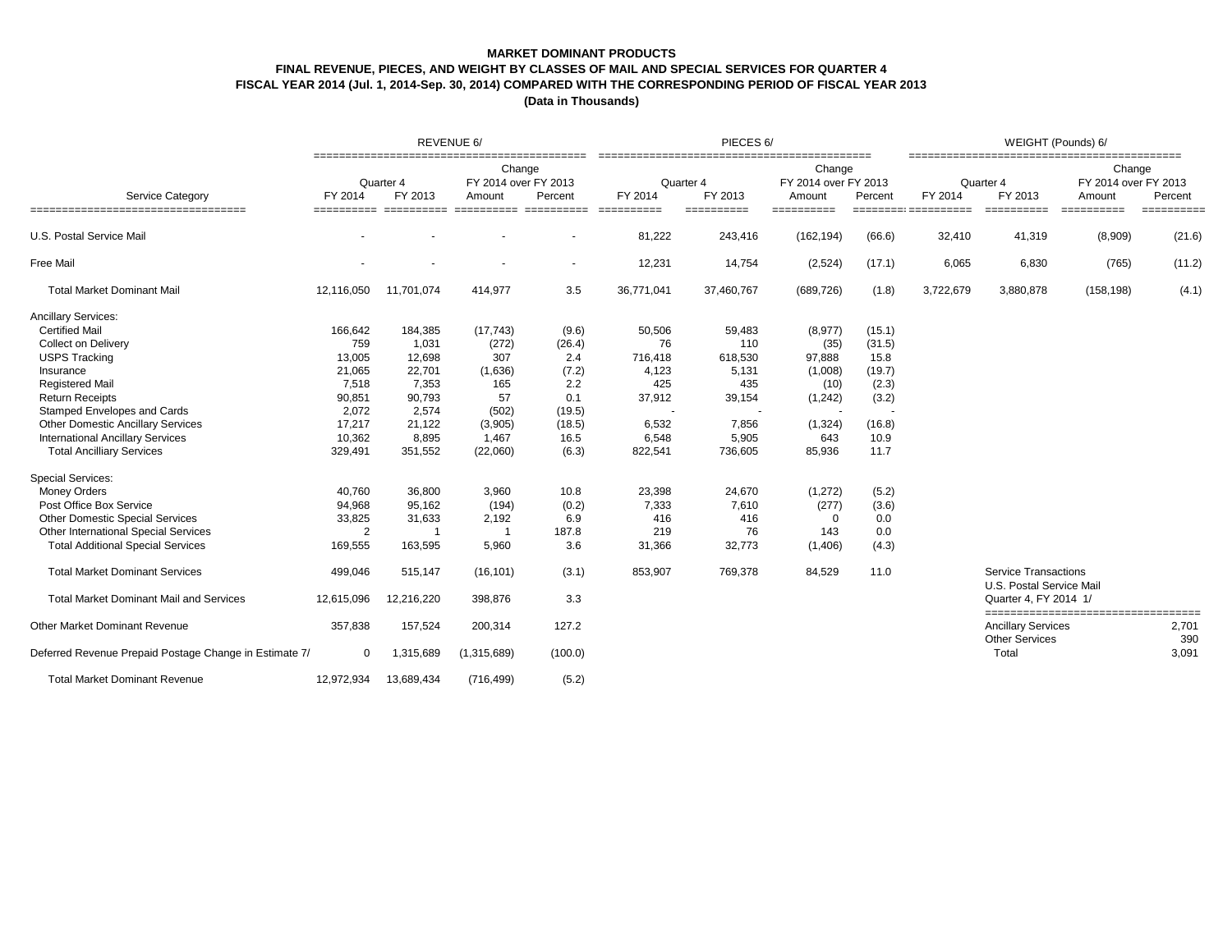## **MARKET DOMINANT PRODUCTS FINAL REVENUE, PIECES, AND WEIGHT BY CLASSES OF MAIL AND SPECIAL SERVICES FOR QUARTER 4 FISCAL YEAR 2014 (Jul. 1, 2014-Sep. 30, 2014) COMPARED WITH THE CORRESPONDING PERIOD OF FISCAL YEAR 2013**

|                                                                  |                |                      | REVENUE 6/                               |                          |                      | PIECES <sub>6</sub> /     |                                          |         | WEIGHT (Pounds) 6/ |                                                    |                                          |                      |  |
|------------------------------------------------------------------|----------------|----------------------|------------------------------------------|--------------------------|----------------------|---------------------------|------------------------------------------|---------|--------------------|----------------------------------------------------|------------------------------------------|----------------------|--|
| <b>Service Category</b>                                          | FY 2014        | Quarter 4<br>FY 2013 | Change<br>FY 2014 over FY 2013<br>Amount | Percent                  | Quarter 4<br>FY 2014 | FY 2013                   | Change<br>FY 2014 over FY 2013<br>Amount | Percent | FY 2014            | Quarter 4<br>FY 2013                               | Change<br>FY 2014 over FY 2013<br>Amount | Percent              |  |
| ____________________________________<br>U.S. Postal Service Mail | ==========     | ==========           |                                          | =====================    | ==========<br>81,222 | $=$ ==========<br>243,416 | ==========<br>(162, 194)                 | (66.6)  | 32,410             | ==========<br>41,319                               | (8,909)                                  | ==========<br>(21.6) |  |
| <b>Free Mail</b>                                                 |                |                      |                                          | $\overline{\phantom{a}}$ | 12,231               | 14,754                    | (2,524)                                  | (17.1)  | 6,065              | 6,830                                              | (765)                                    | (11.2)               |  |
| <b>Total Market Dominant Mail</b>                                | 12,116,050     | 11,701,074           | 414,977                                  | 3.5                      | 36,771,041           | 37,460,767                | (689, 726)                               | (1.8)   | 3,722,679          | 3,880,878                                          | (158, 198)                               | (4.1)                |  |
| <b>Ancillary Services:</b>                                       |                |                      |                                          |                          |                      |                           |                                          |         |                    |                                                    |                                          |                      |  |
| <b>Certified Mail</b>                                            | 166,642        | 184,385              | (17, 743)                                | (9.6)                    | 50,506               | 59,483                    | (8, 977)                                 | (15.1)  |                    |                                                    |                                          |                      |  |
| <b>Collect on Delivery</b>                                       | 759            | 1,031                | (272)                                    | (26.4)                   | 76                   | 110                       | (35)                                     | (31.5)  |                    |                                                    |                                          |                      |  |
| <b>USPS Tracking</b>                                             | 13,005         | 12,698               | 307                                      | 2.4                      | 716,418              | 618,530                   | 97,888                                   | 15.8    |                    |                                                    |                                          |                      |  |
| Insurance                                                        | 21,065         | 22,701               | (1,636)                                  | (7.2)                    | 4,123                | 5,131                     | (1,008)                                  | (19.7)  |                    |                                                    |                                          |                      |  |
| <b>Registered Mail</b>                                           | 7,518          | 7,353                | 165                                      | 2.2                      | 425                  | 435                       | (10)                                     | (2.3)   |                    |                                                    |                                          |                      |  |
| <b>Return Receipts</b>                                           | 90,851         | 90,793               | 57                                       | 0.1                      | 37,912               | 39,154                    | (1,242)                                  | (3.2)   |                    |                                                    |                                          |                      |  |
| Stamped Envelopes and Cards                                      | 2,072          | 2,574                | (502)                                    | (19.5)                   |                      |                           |                                          |         |                    |                                                    |                                          |                      |  |
| <b>Other Domestic Ancillary Services</b>                         | 17,217         | 21,122               | (3,905)                                  | (18.5)                   | 6,532                | 7,856                     | (1, 324)                                 | (16.8)  |                    |                                                    |                                          |                      |  |
| <b>International Ancillary Services</b>                          | 10,362         | 8,895                | 1,467                                    | 16.5                     | 6,548                | 5,905                     | 643                                      | 10.9    |                    |                                                    |                                          |                      |  |
| <b>Total Ancilliary Services</b>                                 | 329,491        | 351,552              | (22,060)                                 | (6.3)                    | 822,541              | 736,605                   | 85,936                                   | 11.7    |                    |                                                    |                                          |                      |  |
| <b>Special Services:</b>                                         |                |                      |                                          |                          |                      |                           |                                          |         |                    |                                                    |                                          |                      |  |
| <b>Money Orders</b>                                              | 40,760         | 36,800               | 3,960                                    | 10.8                     | 23,398               | 24,670                    | (1, 272)                                 | (5.2)   |                    |                                                    |                                          |                      |  |
| Post Office Box Service                                          | 94,968         | 95,162               | (194)                                    | (0.2)                    | 7,333                | 7,610                     | (277)                                    | (3.6)   |                    |                                                    |                                          |                      |  |
| <b>Other Domestic Special Services</b>                           | 33,825         | 31,633               | 2,192                                    | 6.9                      | 416                  | 416                       | 0                                        | 0.0     |                    |                                                    |                                          |                      |  |
| Other International Special Services                             | $\overline{2}$ | 1                    | - 1                                      | 187.8                    | 219                  | 76                        | 143                                      | 0.0     |                    |                                                    |                                          |                      |  |
| <b>Total Additional Special Services</b>                         | 169,555        | 163,595              | 5,960                                    | 3.6                      | 31,366               | 32,773                    | (1,406)                                  | (4.3)   |                    |                                                    |                                          |                      |  |
| <b>Total Market Dominant Services</b>                            | 499,046        | 515,147              | (16, 101)                                | (3.1)                    | 853,907              | 769,378                   | 84,529                                   | 11.0    |                    | Service Transactions<br>U.S. Postal Service Mail   |                                          |                      |  |
| <b>Total Market Dominant Mail and Services</b>                   | 12,615,096     | 12,216,220           | 398,876                                  | 3.3                      |                      |                           |                                          |         |                    | Quarter 4, FY 2014 1/                              | =====================================    |                      |  |
| Other Market Dominant Revenue                                    | 357,838        | 157,524              | 200,314                                  | 127.2                    |                      |                           |                                          |         |                    | <b>Ancillary Services</b><br><b>Other Services</b> |                                          | 2,701<br>390         |  |
| Deferred Revenue Prepaid Postage Change in Estimate 7/           | 0              | 1,315,689            | (1,315,689)                              | (100.0)                  |                      |                           |                                          |         |                    | Total                                              |                                          | 3,091                |  |
| <b>Total Market Dominant Revenue</b>                             | 12,972,934     | 13,689,434           | (716, 499)                               | (5.2)                    |                      |                           |                                          |         |                    |                                                    |                                          |                      |  |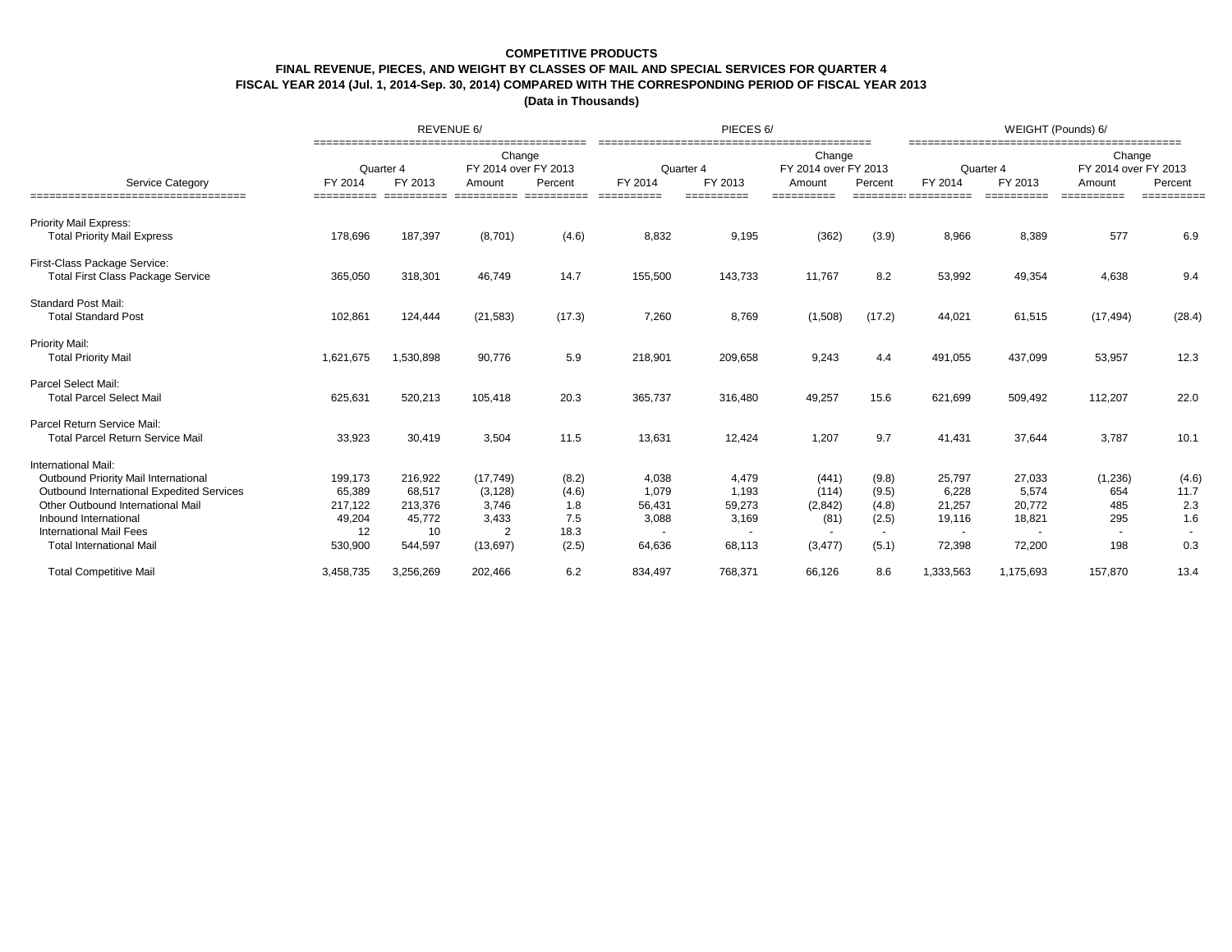### **COMPETITIVE PRODUCTS**

## **FINAL REVENUE, PIECES, AND WEIGHT BY CLASSES OF MAIL AND SPECIAL SERVICES FOR QUARTER 4**

**FISCAL YEAR 2014 (Jul. 1, 2014-Sep. 30, 2014) COMPARED WITH THE CORRESPONDING PERIOD OF FISCAL YEAR 2013**

|                                                                                                                                                                                                                                             |                                                         | REVENUE 6/                                              |                                                                        |                                               |                                             | PIECES <sub>6</sub> /                       |                                                        |                                                     | WEIGHT (Pounds) 6/                            |                                               |                                                        |                                    |  |
|---------------------------------------------------------------------------------------------------------------------------------------------------------------------------------------------------------------------------------------------|---------------------------------------------------------|---------------------------------------------------------|------------------------------------------------------------------------|-----------------------------------------------|---------------------------------------------|---------------------------------------------|--------------------------------------------------------|-----------------------------------------------------|-----------------------------------------------|-----------------------------------------------|--------------------------------------------------------|------------------------------------|--|
| Service Category<br>===================================                                                                                                                                                                                     | FY 2014<br>==========                                   | Quarter 4<br>FY 2013<br>==========                      | Change<br>FY 2014 over FY 2013<br>Amount<br>==========                 | Percent<br>==========                         | FY 2014<br>==========                       | Quarter 4<br>FY 2013<br>==========          | Change<br>FY 2014 over FY 2013<br>Amount<br>========== | Percent                                             | FY 2014                                       | Quarter 4<br>FY 2013                          | Change<br>FY 2014 over FY 2013<br>Amount<br>========== | Percent<br>==========              |  |
| <b>Priority Mail Express:</b><br><b>Total Priority Mail Express</b>                                                                                                                                                                         | 178,696                                                 | 187,397                                                 | (8,701)                                                                | (4.6)                                         | 8,832                                       | 9,195                                       | (362)                                                  | (3.9)                                               | 8,966                                         | 8,389                                         | 577                                                    | 6.9                                |  |
| First-Class Package Service:<br><b>Total First Class Package Service</b>                                                                                                                                                                    | 365,050                                                 | 318,301                                                 | 46,749                                                                 | 14.7                                          | 155,500                                     | 143,733                                     | 11,767                                                 | 8.2                                                 | 53,992                                        | 49,354                                        | 4,638                                                  | 9.4                                |  |
| <b>Standard Post Mail:</b><br><b>Total Standard Post</b>                                                                                                                                                                                    | 102,861                                                 | 124,444                                                 | (21, 583)                                                              | (17.3)                                        | 7,260                                       | 8,769                                       | (1,508)                                                | (17.2)                                              | 44,021                                        | 61,515                                        | (17, 494)                                              | (28.4)                             |  |
| <b>Priority Mail:</b><br><b>Total Priority Mail</b>                                                                                                                                                                                         | 1,621,675                                               | 1,530,898                                               | 90,776                                                                 | 5.9                                           | 218,901                                     | 209,658                                     | 9,243                                                  | 4.4                                                 | 491,055                                       | 437,099                                       | 53,957                                                 | 12.3                               |  |
| <b>Parcel Select Mail:</b><br><b>Total Parcel Select Mail</b>                                                                                                                                                                               | 625,631                                                 | 520,213                                                 | 105,418                                                                | 20.3                                          | 365,737                                     | 316,480                                     | 49,257                                                 | 15.6                                                | 621,699                                       | 509,492                                       | 112,207                                                | 22.0                               |  |
| Parcel Return Service Mail:<br><b>Total Parcel Return Service Mail</b>                                                                                                                                                                      | 33,923                                                  | 30,419                                                  | 3,504                                                                  | 11.5                                          | 13,631                                      | 12,424                                      | 1,207                                                  | 9.7                                                 | 41,431                                        | 37,644                                        | 3,787                                                  | 10.1                               |  |
| International Mail:<br>Outbound Priority Mail International<br>Outbound International Expedited Services<br>Other Outbound International Mail<br>Inbound International<br><b>International Mail Fees</b><br><b>Total International Mail</b> | 199,173<br>65,389<br>217,122<br>49,204<br>12<br>530,900 | 216,922<br>68,517<br>213,376<br>45,772<br>10<br>544,597 | (17, 749)<br>(3, 128)<br>3,746<br>3,433<br>$\overline{2}$<br>(13, 697) | (8.2)<br>(4.6)<br>1.8<br>7.5<br>18.3<br>(2.5) | 4,038<br>1,079<br>56,431<br>3,088<br>64,636 | 4,479<br>1,193<br>59,273<br>3,169<br>68,113 | (441)<br>(114)<br>(2,842)<br>(81)<br>(3, 477)          | (9.8)<br>(9.5)<br>(4.8)<br>(2.5)<br>$\sim$<br>(5.1) | 25,797<br>6,228<br>21,257<br>19,116<br>72,398 | 27,033<br>5,574<br>20,772<br>18,821<br>72,200 | (1,236)<br>654<br>485<br>295<br>198                    | (4.6)<br>11.7<br>2.3<br>1.6<br>0.3 |  |
| <b>Total Competitive Mail</b>                                                                                                                                                                                                               | 3,458,735                                               | 3,256,269                                               | 202,466                                                                | 6.2                                           | 834,497                                     | 768,371                                     | 66,126                                                 | 8.6                                                 | 1,333,563                                     | 1,175,693                                     | 157,870                                                | 13.4                               |  |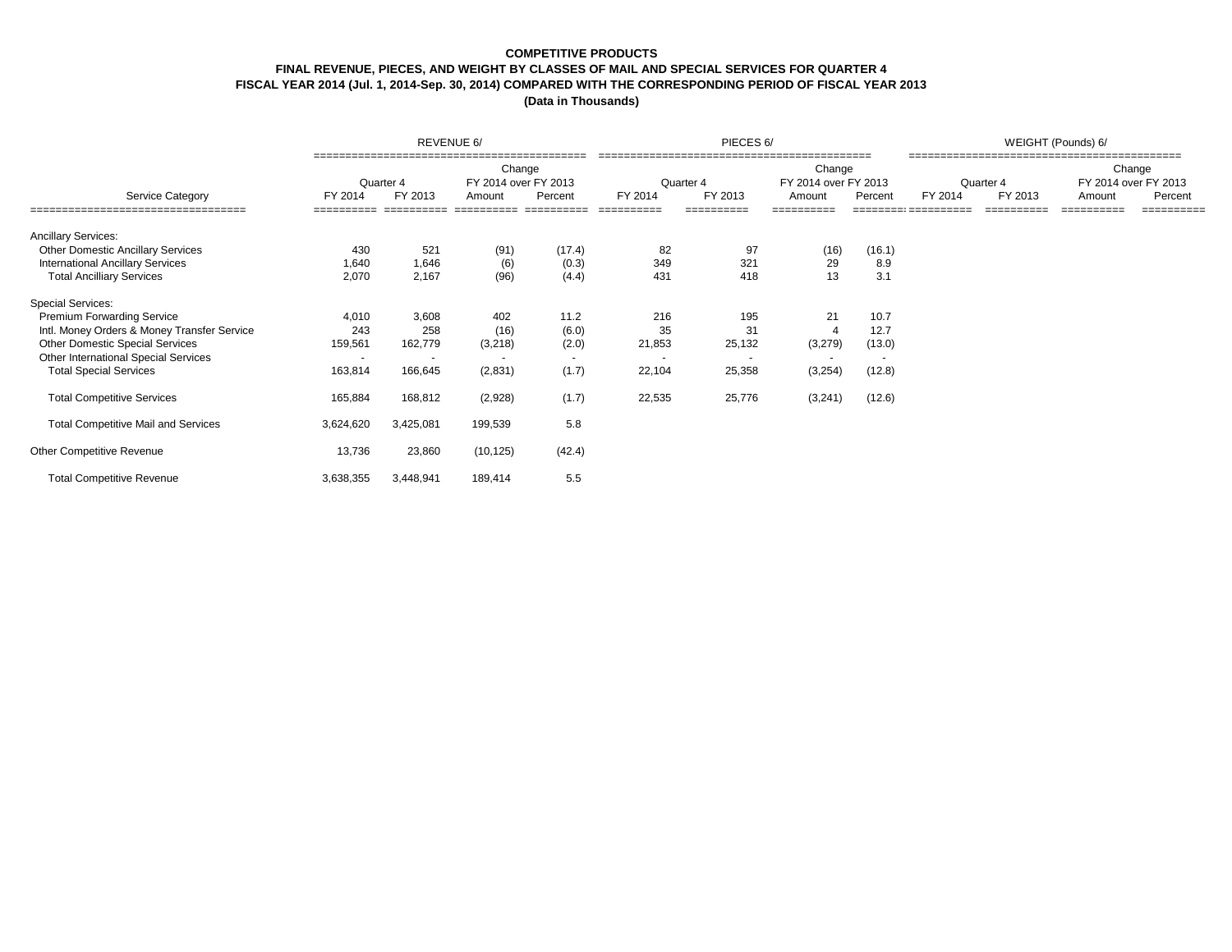## **COMPETITIVE PRODUCTS**

## **FINAL REVENUE, PIECES, AND WEIGHT BY CLASSES OF MAIL AND SPECIAL SERVICES FOR QUARTER 4**

# **FISCAL YEAR 2014 (Jul. 1, 2014-Sep. 30, 2014) COMPARED WITH THE CORRESPONDING PERIOD OF FISCAL YEAR 2013**

|                                             |                          | REVENUE 6/           |                                          |         |                      | PIECES 6/  |                                          |                          | WEIGHT (Pounds) 6/ |                      |                                                     |            |  |  |
|---------------------------------------------|--------------------------|----------------------|------------------------------------------|---------|----------------------|------------|------------------------------------------|--------------------------|--------------------|----------------------|-----------------------------------------------------|------------|--|--|
| Service Category                            | FY 2014                  | Quarter 4<br>FY 2013 | Change<br>FY 2014 over FY 2013<br>Amount | Percent | Quarter 4<br>FY 2014 | FY 2013    | Change<br>FY 2014 over FY 2013<br>Amount | Percent                  | FY 2014            | Quarter 4<br>FY 2013 | Change<br>FY 2014 over FY 2013<br>Percent<br>Amount |            |  |  |
| ==================================          |                          | ==========           |                                          |         | ==========           | ========== | ==========                               |                          |                    | ==========           | ==========                                          | ========== |  |  |
| <b>Ancillary Services:</b>                  |                          |                      |                                          |         |                      |            |                                          |                          |                    |                      |                                                     |            |  |  |
| <b>Other Domestic Ancillary Services</b>    | 430                      | 521                  | (91)                                     | (17.4)  | 82                   | 97         | (16)                                     | (16.1)                   |                    |                      |                                                     |            |  |  |
| <b>International Ancillary Services</b>     | 1,640                    | 1,646                | (6)                                      | (0.3)   | 349                  | 321        | 29                                       | 8.9                      |                    |                      |                                                     |            |  |  |
| <b>Total Ancilliary Services</b>            | 2,070                    | 2,167                | (96)                                     | (4.4)   | 431                  | 418        | 13                                       | 3.1                      |                    |                      |                                                     |            |  |  |
| <b>Special Services:</b>                    |                          |                      |                                          |         |                      |            |                                          |                          |                    |                      |                                                     |            |  |  |
| <b>Premium Forwarding Service</b>           | 4,010                    | 3,608                | 402                                      | 11.2    | 216                  | 195        | 21                                       | 10.7                     |                    |                      |                                                     |            |  |  |
| Intl. Money Orders & Money Transfer Service | 243                      | 258                  | (16)                                     | (6.0)   | 35                   | 31         | $\Delta$                                 | 12.7                     |                    |                      |                                                     |            |  |  |
| <b>Other Domestic Special Services</b>      | 159,561                  | 162,779              | (3,218)                                  | (2.0)   | 21,853               | 25,132     | (3,279)                                  | (13.0)                   |                    |                      |                                                     |            |  |  |
| Other International Special Services        | $\overline{\phantom{a}}$ |                      |                                          | $\sim$  |                      |            |                                          | $\overline{\phantom{a}}$ |                    |                      |                                                     |            |  |  |
| <b>Total Special Services</b>               | 163,814                  | 166,645              | (2,831)                                  | (1.7)   | 22,104               | 25,358     | (3,254)                                  | (12.8)                   |                    |                      |                                                     |            |  |  |
| <b>Total Competitive Services</b>           | 165,884                  | 168,812              | (2,928)                                  | (1.7)   | 22,535               | 25,776     | (3,241)                                  | (12.6)                   |                    |                      |                                                     |            |  |  |
| <b>Total Competitive Mail and Services</b>  | 3,624,620                | 3,425,081            | 199,539                                  | 5.8     |                      |            |                                          |                          |                    |                      |                                                     |            |  |  |
| Other Competitive Revenue                   | 13,736                   | 23,860               | (10, 125)                                | (42.4)  |                      |            |                                          |                          |                    |                      |                                                     |            |  |  |
| <b>Total Competitive Revenue</b>            | 3,638,355                | 3,448,941            | 189,414                                  | 5.5     |                      |            |                                          |                          |                    |                      |                                                     |            |  |  |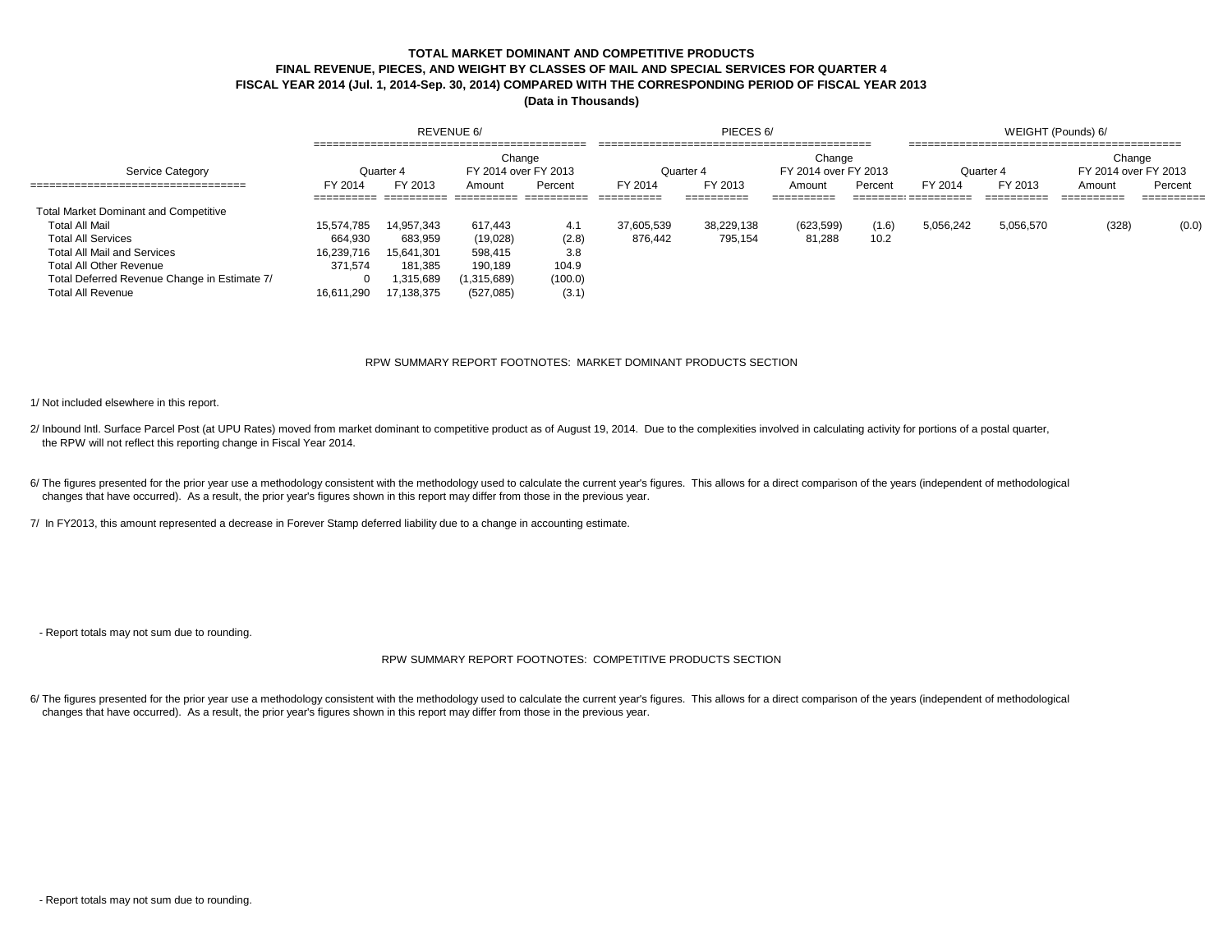# **TOTAL MARKET DOMINANT AND COMPETITIVE PRODUCTS FINAL REVENUE, PIECES, AND WEIGHT BY CLASSES OF MAIL AND SPECIAL SERVICES FOR QUARTER 4 FISCAL YEAR 2014 (Jul. 1, 2014-Sep. 30, 2014) COMPARED WITH THE CORRESPONDING PERIOD OF FISCAL YEAR 2013**

**(Data in Thousands)**

|                                              | REVENUE 6/             |                        |                                |           |                       | PIECES 6/             |                                | WEIGHT (Pounds) 6/ |                                       |                        |                                |                       |
|----------------------------------------------|------------------------|------------------------|--------------------------------|-----------|-----------------------|-----------------------|--------------------------------|--------------------|---------------------------------------|------------------------|--------------------------------|-----------------------|
| Service Category                             |                        | Quarter 4              | Change<br>FY 2014 over FY 2013 |           | Quarter 4             |                       | Change<br>FY 2014 over FY 2013 |                    |                                       | Quarter 4              | Change<br>FY 2014 over FY 2013 |                       |
|                                              | FY 2014<br>----------- | FY 2013<br>___________ | Amount                         | Percent   | FY 2014<br>__________ | FY 2013<br>__________ | Amount<br>__________           | Percent            | FY 2014<br>__________________________ | FY 2013<br>___________ | Amount<br>__________           | Percent<br>__________ |
| <b>Total Market Dominant and Competitive</b> |                        | __________             | -----------                    | _________ | ----------            | ----------            | _________                      |                    | __________________                    | _________              | ----------                     | __________            |
| Total All Mail                               | 15.574.785             | 14.957.343             | 617.443                        | 4.1       | 37.605.539            | 38.229.138            | (623, 599)                     | (1.6)              | 5.056.242                             | 5,056,570              | (328)                          | (0.0)                 |
| <b>Total All Services</b>                    | 664.930                | 683.959                | (19,028)                       | (2.8)     | 876.442               | 795,154               | 81,288                         | 10.2               |                                       |                        |                                |                       |
| <b>Total All Mail and Services</b>           | 16,239,716             | 15,641,301             | 598,415                        | 3.8       |                       |                       |                                |                    |                                       |                        |                                |                       |
| Total All Other Revenue                      | 371.574                | 181.385                | 190.189                        | 104.9     |                       |                       |                                |                    |                                       |                        |                                |                       |
| Total Deferred Revenue Change in Estimate 7/ |                        | .315.689               | 1,315,689)                     | (100.0)   |                       |                       |                                |                    |                                       |                        |                                |                       |
| <b>Total All Revenue</b>                     | 16.611.290             | 17.138.375             | (527, 085)                     | (3.1)     |                       |                       |                                |                    |                                       |                        |                                |                       |

#### RPW SUMMARY REPORT FOOTNOTES: MARKET DOMINANT PRODUCTS SECTION

1/ Not included elsewhere in this report.

2/ Inbound Intl. Surface Parcel Post (at UPU Rates) moved from market dominant to competitive product as of August 19, 2014. Due to the complexities involved in calculating activity for portions of a postal quarter, the RPW will not reflect this reporting change in Fiscal Year 2014.

6/ The figures presented for the prior year use a methodology consistent with the methodology used to calculate the current year's figures. This allows for a direct comparison of the years (independent of methodological changes that have occurred). As a result, the prior year's figures shown in this report may differ from those in the previous year.

7/ In FY2013, this amount represented a decrease in Forever Stamp deferred liability due to a change in accounting estimate.

- Report totals may not sum due to rounding.

#### RPW SUMMARY REPORT FOOTNOTES: COMPETITIVE PRODUCTS SECTION

6/ The figures presented for the prior year use a methodology consistent with the methodology used to calculate the current year's figures. This allows for a direct comparison of the years (independent of methodological changes that have occurred). As a result, the prior year's figures shown in this report may differ from those in the previous year.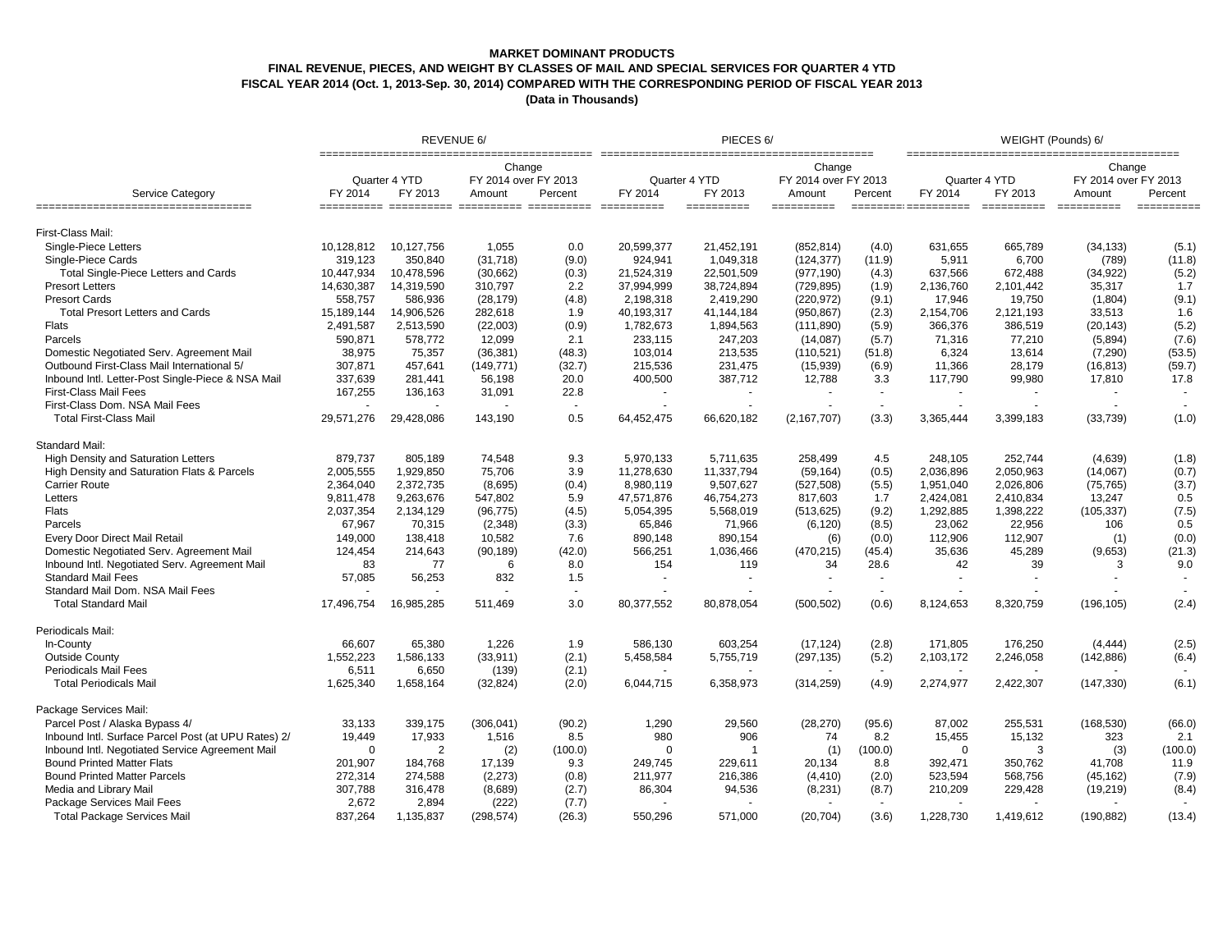### **MARKET DOMINANT PRODUCTS**

# **FINAL REVENUE, PIECES, AND WEIGHT BY CLASSES OF MAIL AND SPECIAL SERVICES FOR QUARTER 4 YTD**

**FISCAL YEAR 2014 (Oct. 1, 2013-Sep. 30, 2014) COMPARED WITH THE CORRESPONDING PERIOD OF FISCAL YEAR 2013**

|                                                           | REVENUE 6/ |                          |                                          |                | PIECES <sub>6</sub> /    |                                                                                       |                                          |                          | WEIGHT (Pounds) 6/ |                          |                                          |             |
|-----------------------------------------------------------|------------|--------------------------|------------------------------------------|----------------|--------------------------|---------------------------------------------------------------------------------------|------------------------------------------|--------------------------|--------------------|--------------------------|------------------------------------------|-------------|
| Service Category<br>===================================== | FY 2014    | Quarter 4 YTD<br>FY 2013 | Change<br>FY 2014 over FY 2013<br>Amount | Percent        | Quarter 4 YTD<br>FY 2014 | FY 2013                                                                               | Change<br>FY 2014 over FY 2013<br>Amount | Percent                  | FY 2014            | Quarter 4 YTD<br>FY 2013 | Change<br>FY 2014 over FY 2013<br>Amount | Percent     |
|                                                           |            |                          |                                          |                |                          | $\begin{array}{c} \texttt{m}=\texttt{m}=\texttt{m}=\texttt{m}=\texttt{m} \end{array}$ |                                          |                          |                    | =====================    |                                          | $=$ $=$ $=$ |
| First-Class Mail:                                         |            |                          |                                          |                |                          |                                                                                       |                                          |                          |                    |                          |                                          |             |
| Single-Piece Letters                                      | 10,128,812 | 10,127,756               | 1,055                                    | 0.0            | 20,599,377               | 21,452,191                                                                            | (852, 814)                               | (4.0)                    | 631,655            | 665,789                  | (34, 133)                                | (5.1)       |
| Single-Piece Cards                                        | 319,123    | 350,840                  | (31, 718)                                | (9.0)          | 924,941                  | 1,049,318                                                                             | (124, 377)                               | (11.9)                   | 5,911              | 6,700                    | (789)                                    | (11.8)      |
| Total Single-Piece Letters and Cards                      | 10,447,934 | 10,478,596               | (30,662)                                 | (0.3)          | 21,524,319               | 22,501,509                                                                            | (977, 190)                               | (4.3)                    | 637.566            | 672,488                  | (34, 922)                                | (5.2)       |
| <b>Presort Letters</b>                                    | 14,630,387 | 14,319,590               | 310,797                                  | 2.2            | 37,994,999               | 38,724,894                                                                            | (729, 895)                               | (1.9)                    | 2,136,760          | 2,101,442                | 35,317                                   | 1.7         |
| <b>Presort Cards</b>                                      | 558,757    | 586,936                  | (28, 179)                                | (4.8)          | 2,198,318                | 2,419,290                                                                             | (220, 972)                               | (9.1)                    | 17,946             | 19,750                   | (1,804)                                  | (9.1)       |
| <b>Total Presort Letters and Cards</b>                    | 15,189,144 | 14,906,526               | 282,618                                  | 1.9            | 40,193,317               | 41,144,184                                                                            | (950, 867)                               | (2.3)                    | 2,154,706          | 2,121,193                | 33,513                                   | 1.6         |
| Flats                                                     | 2,491,587  | 2,513,590                | (22,003)                                 | (0.9)          | 1,782,673                | 1,894,563                                                                             | (111, 890)                               | (5.9)                    | 366,376            | 386,519                  | (20, 143)                                | (5.2)       |
| Parcels                                                   | 590.871    | 578,772                  | 12.099                                   | 2.1            | 233,115                  | 247,203                                                                               | (14,087)                                 | (5.7)                    | 71,316             | 77,210                   | (5,894)                                  | (7.6)       |
| Domestic Negotiated Serv. Agreement Mail                  | 38,975     | 75,357                   | (36, 381)                                | (48.3)         | 103,014                  | 213,535                                                                               | (110, 521)                               | (51.8)                   | 6,324              | 13,614                   | (7, 290)                                 | (53.5)      |
| Outbound First-Class Mail International 5/                | 307,871    | 457,641                  | (149, 771)                               | (32.7)         | 215,536                  | 231,475                                                                               | (15,939)                                 | (6.9)                    | 11,366             | 28,179                   | (16, 813)                                | (59.7)      |
| Inbound Intl. Letter-Post Single-Piece & NSA Mail         | 337,639    | 281,441                  | 56,198                                   | 20.0           | 400,500                  | 387,712                                                                               | 12,788                                   | 3.3                      | 117,790            | 99,980                   | 17,810                                   | 17.8        |
| <b>First-Class Mail Fees</b>                              | 167,255    | 136,163                  | 31,091                                   | 22.8           |                          |                                                                                       |                                          | $\sim$                   |                    |                          |                                          |             |
| First-Class Dom. NSA Mail Fees                            |            |                          |                                          | $\sim$         |                          |                                                                                       |                                          | $\sim$                   |                    |                          |                                          |             |
| <b>Total First-Class Mail</b>                             | 29,571,276 | 29,428,086               | 143,190                                  | 0.5            | 64,452,475               | 66,620,182                                                                            | (2, 167, 707)                            | (3.3)                    | 3,365,444          | 3,399,183                | (33, 739)                                | (1.0)       |
| Standard Mail:                                            |            |                          |                                          |                |                          |                                                                                       |                                          |                          |                    |                          |                                          |             |
| <b>High Density and Saturation Letters</b>                | 879,737    | 805,189                  | 74,548                                   | 9.3            | 5.970.133                | 5.711.635                                                                             | 258,499                                  | 4.5                      | 248.105            | 252.744                  | (4,639)                                  | (1.8)       |
| High Density and Saturation Flats & Parcels               | 2,005,555  | 1,929,850                | 75,706                                   | 3.9            | 11,278,630               | 11,337,794                                                                            | (59, 164)                                | (0.5)                    | 2,036,896          | 2,050,963                | (14,067)                                 | (0.7)       |
| <b>Carrier Route</b>                                      | 2,364,040  | 2,372,735                | (8,695)                                  | (0.4)          | 8,980,119                | 9,507,627                                                                             | (527, 508)                               | (5.5)                    | 1,951,040          | 2,026,806                | (75, 765)                                | (3.7)       |
| Letters                                                   | 9,811,478  | 9,263,676                | 547,802                                  | 5.9            | 47,571,876               | 46,754,273                                                                            | 817,603                                  | 1.7                      | 2,424,081          | 2,410,834                | 13,247                                   | 0.5         |
| Flats                                                     | 2,037,354  | 2,134,129                | (96, 775)                                | (4.5)          | 5,054,395                | 5,568,019                                                                             | (513, 625)                               | (9.2)                    | 1,292,885          | 1,398,222                | (105, 337)                               | (7.5)       |
| Parcels                                                   | 67,967     | 70,315                   | (2, 348)                                 | (3.3)          | 65,846                   | 71,966                                                                                | (6, 120)                                 | (8.5)                    | 23,062             | 22,956                   | 106                                      | 0.5         |
| Every Door Direct Mail Retail                             | 149,000    | 138,418                  | 10,582                                   | 7.6            | 890,148                  | 890,154                                                                               | (6)                                      | (0.0)                    | 112,906            | 112,907                  | (1)                                      | (0.0)       |
| Domestic Negotiated Serv. Agreement Mail                  | 124,454    | 214,643                  | (90, 189)                                | (42.0)         | 566,251                  | 1,036,466                                                                             | (470, 215)                               | (45.4)                   | 35,636             | 45,289                   | (9,653)                                  | (21.3)      |
| Inbound Intl. Negotiated Serv. Agreement Mail             | 83         | 77                       | 6                                        | 8.0            | 154                      | 119                                                                                   | 34                                       | 28.6                     | 42                 | 39                       | 3                                        | 9.0         |
| <b>Standard Mail Fees</b>                                 | 57,085     | 56,253                   | 832                                      | 1.5            | $\overline{\phantom{a}}$ | ٠                                                                                     |                                          | $\overline{\phantom{a}}$ | $\blacksquare$     | $\sim$                   |                                          |             |
| Standard Mail Dom. NSA Mail Fees                          |            |                          |                                          | $\blacksquare$ |                          |                                                                                       |                                          |                          |                    |                          |                                          |             |
| <b>Total Standard Mail</b>                                | 17,496,754 | 16,985,285               | 511.469                                  | 3.0            | 80,377,552               | 80,878,054                                                                            | (500, 502)                               | (0.6)                    | 8.124.653          | 8,320,759                | (196, 105)                               | (2.4)       |
| Periodicals Mail:                                         |            |                          |                                          |                |                          |                                                                                       |                                          |                          |                    |                          |                                          |             |
| In-County                                                 | 66.607     | 65,380                   | 1.226                                    | 1.9            | 586.130                  | 603,254                                                                               | (17, 124)                                | (2.8)                    | 171,805            | 176,250                  | (4, 444)                                 | (2.5)       |
| <b>Outside County</b>                                     | 1,552,223  | 1,586,133                | (33, 911)                                | (2.1)          | 5,458,584                | 5,755,719                                                                             | (297, 135)                               | (5.2)                    | 2,103,172          | 2,246,058                | (142, 886)                               | (6.4)       |
| <b>Periodicals Mail Fees</b>                              | 6,511      | 6,650                    | (139)                                    | (2.1)          |                          |                                                                                       |                                          | $\overline{\phantom{a}}$ |                    |                          |                                          |             |
| <b>Total Periodicals Mail</b>                             | 1,625,340  | 1,658,164                | (32, 824)                                | (2.0)          | 6,044,715                | 6,358,973                                                                             | (314, 259)                               | (4.9)                    | 2,274,977          | 2,422,307                | (147, 330)                               | (6.1)       |
| Package Services Mail:                                    |            |                          |                                          |                |                          |                                                                                       |                                          |                          |                    |                          |                                          |             |
| Parcel Post / Alaska Bypass 4/                            | 33,133     | 339,175                  | (306, 041)                               | (90.2)         | 1,290                    | 29,560                                                                                | (28, 270)                                | (95.6)                   | 87,002             | 255,531                  | (168, 530)                               | (66.0)      |
| Inbound Intl. Surface Parcel Post (at UPU Rates) 2/       | 19,449     | 17,933                   | 1,516                                    | 8.5            | 980                      | 906                                                                                   | 74                                       | 8.2                      | 15,455             | 15,132                   | 323                                      | 2.1         |
|                                                           | $\Omega$   | $\overline{2}$           |                                          |                | $\Omega$                 | -1                                                                                    |                                          |                          | $\mathbf 0$        | 3                        |                                          |             |
| Inbound Intl. Negotiated Service Agreement Mail           |            |                          | (2)                                      | (100.0)        |                          |                                                                                       | (1)                                      | (100.0)                  |                    |                          | (3)                                      | (100.0)     |
| <b>Bound Printed Matter Flats</b>                         | 201,907    | 184,768                  | 17,139                                   | 9.3            | 249,745                  | 229,611                                                                               | 20,134                                   | 8.8                      | 392,471            | 350,762                  | 41,708                                   | 11.9        |
| <b>Bound Printed Matter Parcels</b>                       | 272.314    | 274.588                  | (2,273)                                  | (0.8)          | 211,977                  | 216,386                                                                               | (4, 410)                                 | (2.0)                    | 523.594            | 568,756                  | (45, 162)                                | (7.9)       |
| Media and Library Mail                                    | 307,788    | 316,478                  | (8,689)                                  | (2.7)          | 86,304                   | 94,536                                                                                | (8, 231)                                 | (8.7)                    | 210,209            | 229,428                  | (19, 219)                                | (8.4)       |
| Package Services Mail Fees                                | 2,672      | 2,894                    | (222)                                    | (7.7)          |                          |                                                                                       |                                          |                          |                    |                          |                                          |             |
| <b>Total Package Services Mail</b>                        | 837,264    | 1,135,837                | (298, 574)                               | (26.3)         | 550,296                  | 571,000                                                                               | (20, 704)                                | (3.6)                    | 1,228,730          | 1,419,612                | (190, 882)                               | (13.4)      |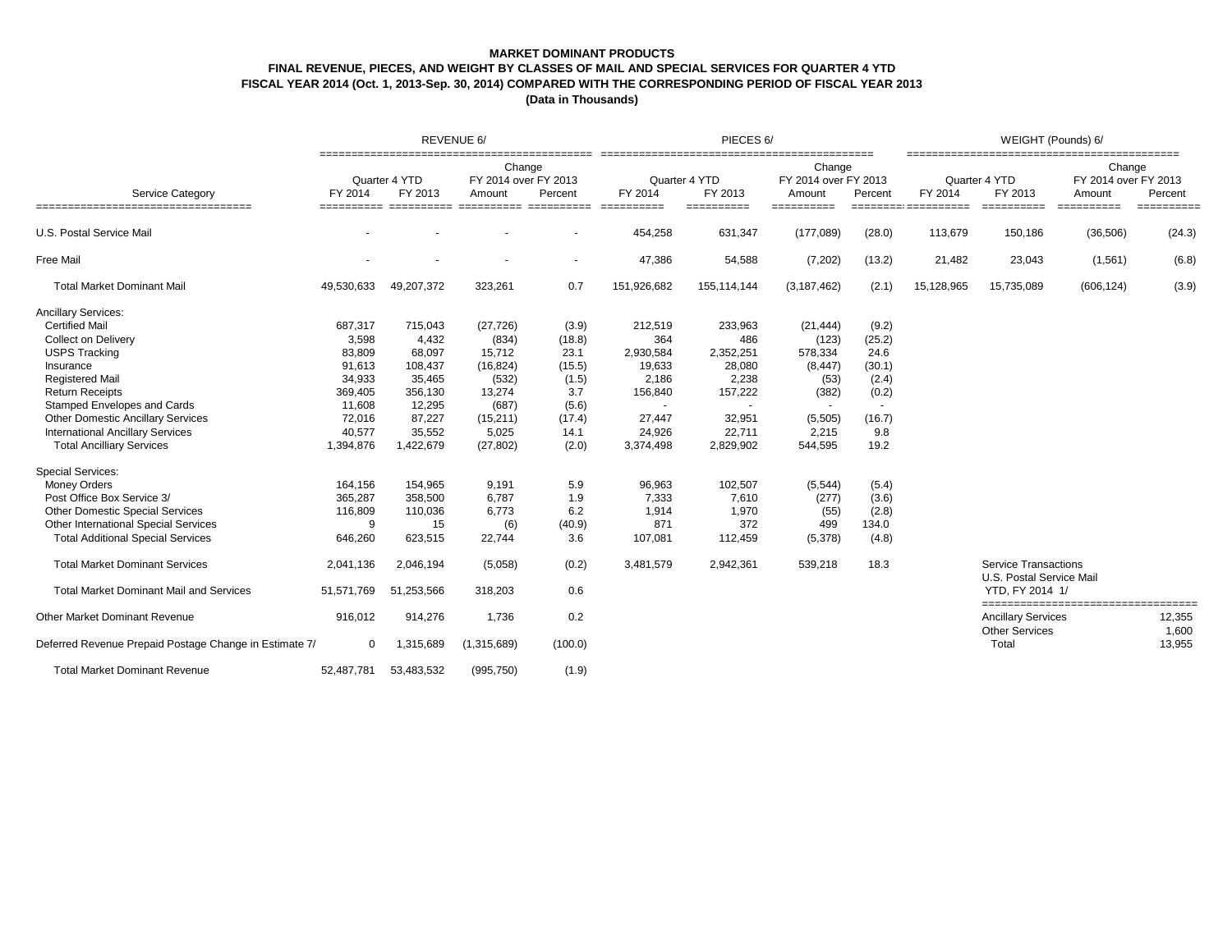### **MARKET DOMINANT PRODUCTS**

# **FINAL REVENUE, PIECES, AND WEIGHT BY CLASSES OF MAIL AND SPECIAL SERVICES FOR QUARTER 4 YTD**

**FISCAL YEAR 2014 (Oct. 1, 2013-Sep. 30, 2014) COMPARED WITH THE CORRESPONDING PERIOD OF FISCAL YEAR 2013**

|                                                        |             |                          | REVENUE 6/                               |                          | PIECES 6/                |                |                                          |         | WEIGHT (Pounds) 6/ |                                                         |                                          |                 |  |
|--------------------------------------------------------|-------------|--------------------------|------------------------------------------|--------------------------|--------------------------|----------------|------------------------------------------|---------|--------------------|---------------------------------------------------------|------------------------------------------|-----------------|--|
| <b>Service Category</b>                                | FY 2014     | Quarter 4 YTD<br>FY 2013 | Change<br>FY 2014 over FY 2013<br>Amount | Percent                  | Quarter 4 YTD<br>FY 2014 | FY 2013        | Change<br>FY 2014 over FY 2013<br>Amount | Percent | FY 2014            | Quarter 4 YTD<br>FY 2013                                | Change<br>FY 2014 over FY 2013<br>Amount | Percent         |  |
| ===================================                    |             |                          |                                          |                          |                          | $=$ ========== | ==========                               |         |                    | ==========                                              | ==========                               | ==========      |  |
| U.S. Postal Service Mail                               |             |                          |                                          |                          | 454,258                  | 631,347        | (177,089)                                | (28.0)  | 113,679            | 150,186                                                 | (36, 506)                                | (24.3)          |  |
| <b>Free Mail</b>                                       |             |                          |                                          | $\overline{\phantom{a}}$ | 47,386                   | 54,588         | (7,202)                                  | (13.2)  | 21,482             | 23,043                                                  | (1, 561)                                 | (6.8)           |  |
| <b>Total Market Dominant Mail</b>                      | 49,530,633  | 49,207,372               | 323,261                                  | 0.7                      | 151,926,682              | 155,114,144    | (3, 187, 462)                            | (2.1)   | 15,128,965         | 15,735,089                                              | (606, 124)                               | (3.9)           |  |
| <b>Ancillary Services:</b>                             |             |                          |                                          |                          |                          |                |                                          |         |                    |                                                         |                                          |                 |  |
| <b>Certified Mail</b>                                  | 687,317     | 715,043                  | (27, 726)                                | (3.9)                    | 212,519                  | 233,963        | (21, 444)                                | (9.2)   |                    |                                                         |                                          |                 |  |
| <b>Collect on Delivery</b>                             | 3,598       | 4,432                    | (834)                                    | (18.8)                   | 364                      | 486            | (123)                                    | (25.2)  |                    |                                                         |                                          |                 |  |
| <b>USPS Tracking</b>                                   | 83,809      | 68,097                   | 15,712                                   | 23.1                     | 2,930,584                | 2,352,251      | 578,334                                  | 24.6    |                    |                                                         |                                          |                 |  |
| Insurance                                              | 91,613      | 108,437                  | (16, 824)                                | (15.5)                   | 19,633                   | 28,080         | (8, 447)                                 | (30.1)  |                    |                                                         |                                          |                 |  |
| <b>Registered Mail</b>                                 | 34,933      | 35,465                   | (532)                                    | (1.5)                    | 2,186                    | 2,238          | (53)                                     | (2.4)   |                    |                                                         |                                          |                 |  |
| <b>Return Receipts</b>                                 | 369,405     | 356,130                  | 13,274                                   | 3.7                      | 156,840                  | 157,222        | (382)                                    | (0.2)   |                    |                                                         |                                          |                 |  |
| Stamped Envelopes and Cards                            | 11,608      | 12,295                   | (687)                                    | (5.6)                    |                          |                |                                          |         |                    |                                                         |                                          |                 |  |
| <b>Other Domestic Ancillary Services</b>               | 72,016      | 87,227                   | (15, 211)                                | (17.4)                   | 27.447                   | 32,951         | (5,505)                                  | (16.7)  |                    |                                                         |                                          |                 |  |
| <b>International Ancillary Services</b>                | 40,577      | 35,552                   | 5,025                                    | 14.1                     | 24,926                   | 22,711         | 2,215                                    | 9.8     |                    |                                                         |                                          |                 |  |
| <b>Total Ancilliary Services</b>                       | 1,394,876   | 1,422,679                | (27, 802)                                | (2.0)                    | 3,374,498                | 2,829,902      | 544,595                                  | 19.2    |                    |                                                         |                                          |                 |  |
| <b>Special Services:</b>                               |             |                          |                                          |                          |                          |                |                                          |         |                    |                                                         |                                          |                 |  |
| <b>Money Orders</b>                                    | 164,156     | 154,965                  | 9,191                                    | 5.9                      | 96,963                   | 102,507        | (5, 544)                                 | (5.4)   |                    |                                                         |                                          |                 |  |
| Post Office Box Service 3/                             | 365,287     | 358,500                  | 6,787                                    | 1.9                      | 7,333                    | 7,610          | (277)                                    | (3.6)   |                    |                                                         |                                          |                 |  |
| <b>Other Domestic Special Services</b>                 | 116,809     | 110,036                  | 6,773                                    | 6.2                      | 1,914                    | 1,970          | (55)                                     | (2.8)   |                    |                                                         |                                          |                 |  |
| Other International Special Services                   | 9           | 15                       | (6)                                      | (40.9)                   | 871                      | 372            | 499                                      | 134.0   |                    |                                                         |                                          |                 |  |
| <b>Total Additional Special Services</b>               | 646,260     | 623,515                  | 22,744                                   | 3.6                      | 107,081                  | 112,459        | (5,378)                                  | (4.8)   |                    |                                                         |                                          |                 |  |
| <b>Total Market Dominant Services</b>                  | 2.041.136   | 2,046,194                | (5,058)                                  | (0.2)                    | 3,481,579                | 2,942,361      | 539,218                                  | 18.3    |                    | <b>Service Transactions</b><br>U.S. Postal Service Mail |                                          |                 |  |
| <b>Total Market Dominant Mail and Services</b>         | 51,571,769  | 51,253,566               | 318,203                                  | 0.6                      |                          |                |                                          |         |                    | YTD, FY 2014 1/                                         |                                          |                 |  |
| Other Market Dominant Revenue                          | 916,012     | 914,276                  | 1,736                                    | 0.2                      |                          |                |                                          |         |                    | <b>Ancillary Services</b><br><b>Other Services</b>      | ====================================     | 12,355<br>1,600 |  |
| Deferred Revenue Prepaid Postage Change in Estimate 7/ | $\mathbf 0$ | 1,315,689                | (1,315,689)                              | (100.0)                  |                          |                |                                          |         |                    | Total                                                   |                                          | 13,955          |  |
| <b>Total Market Dominant Revenue</b>                   | 52,487,781  | 53,483,532               | (995, 750)                               | (1.9)                    |                          |                |                                          |         |                    |                                                         |                                          |                 |  |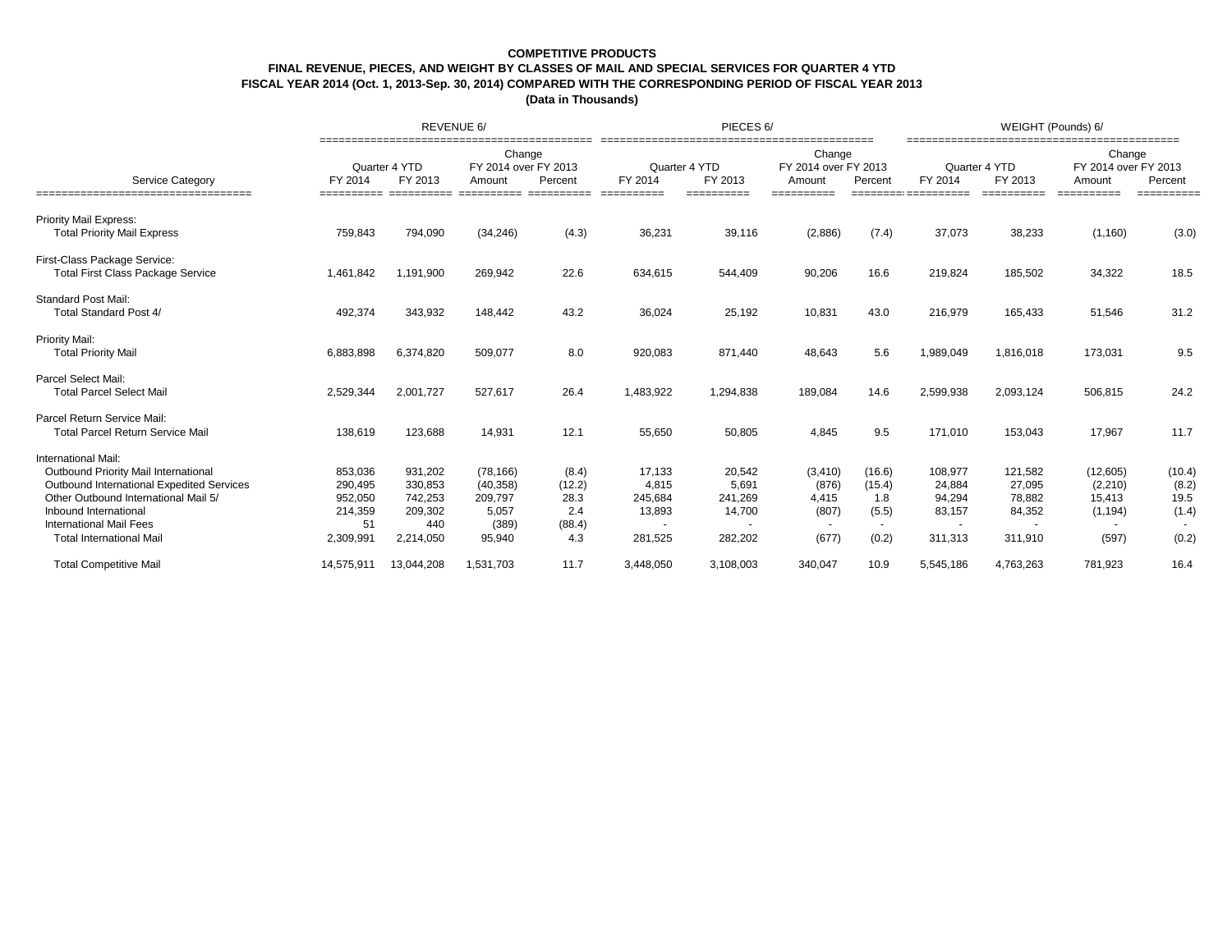## **COMPETITIVE PRODUCTS FINAL REVENUE, PIECES, AND WEIGHT BY CLASSES OF MAIL AND SPECIAL SERVICES FOR QUARTER 4 YTD FISCAL YEAR 2014 (Oct. 1, 2013-Sep. 30, 2014) COMPARED WITH THE CORRESPONDING PERIOD OF FISCAL YEAR 2013 (Data in Thousands)**

|                                                                                                                                                                                                                                                |                                                             | REVENUE 6/                                                   |                                                               |                                                 |                                                 | PIECES 6/                                       |                                                       |                                                     | WEIGHT (Pounds) 6/                               |                                                  |                                                     |                                           |  |
|------------------------------------------------------------------------------------------------------------------------------------------------------------------------------------------------------------------------------------------------|-------------------------------------------------------------|--------------------------------------------------------------|---------------------------------------------------------------|-------------------------------------------------|-------------------------------------------------|-------------------------------------------------|-------------------------------------------------------|-----------------------------------------------------|--------------------------------------------------|--------------------------------------------------|-----------------------------------------------------|-------------------------------------------|--|
| <b>Service Category</b><br>--------------------------------                                                                                                                                                                                    | FY 2014                                                     | Quarter 4 YTD<br>FY 2013                                     | Change<br>FY 2014 over FY 2013<br>Amount                      | Percent                                         | Quarter 4 YTD<br>FY 2014<br>=====               | FY 2013<br>====                                 | Change<br>FY 2014 over FY 2013<br>Amount<br>_________ | Percent<br>---------                                | FY 2014<br>====                                  | Quarter 4 YTD<br>FY 2013                         | Change<br>FY 2014 over FY 2013<br>Amount<br>====    | Percent<br>===                            |  |
| <b>Priority Mail Express:</b><br><b>Total Priority Mail Express</b>                                                                                                                                                                            | 759,843                                                     | 794,090                                                      | (34, 246)                                                     | (4.3)                                           | 36,231                                          | 39,116                                          | (2,886)                                               | (7.4)                                               | 37,073                                           | 38,233                                           | (1, 160)                                            | (3.0)                                     |  |
| First-Class Package Service:<br><b>Total First Class Package Service</b>                                                                                                                                                                       | 1,461,842                                                   | 1,191,900                                                    | 269,942                                                       | 22.6                                            | 634,615                                         | 544,409                                         | 90,206                                                | 16.6                                                | 219,824                                          | 185,502                                          | 34,322                                              | 18.5                                      |  |
| <b>Standard Post Mail:</b><br>Total Standard Post 4/                                                                                                                                                                                           | 492,374                                                     | 343,932                                                      | 148,442                                                       | 43.2                                            | 36,024                                          | 25,192                                          | 10,831                                                | 43.0                                                | 216,979                                          | 165,433                                          | 51,546                                              | 31.2                                      |  |
| Priority Mail:<br><b>Total Priority Mail</b>                                                                                                                                                                                                   | 6,883,898                                                   | 6,374,820                                                    | 509,077                                                       | 8.0                                             | 920,083                                         | 871,440                                         | 48,643                                                | 5.6                                                 | 1,989,049                                        | 1,816,018                                        | 173,031                                             | 9.5                                       |  |
| Parcel Select Mail:<br><b>Total Parcel Select Mail</b>                                                                                                                                                                                         | 2,529,344                                                   | 2,001,727                                                    | 527,617                                                       | 26.4                                            | 1,483,922                                       | 1,294,838                                       | 189,084                                               | 14.6                                                | 2,599,938                                        | 2,093,124                                        | 506,815                                             | 24.2                                      |  |
| Parcel Return Service Mail:<br><b>Total Parcel Return Service Mail</b>                                                                                                                                                                         | 138,619                                                     | 123,688                                                      | 14,931                                                        | 12.1                                            | 55,650                                          | 50,805                                          | 4,845                                                 | 9.5                                                 | 171,010                                          | 153,043                                          | 17,967                                              | 11.7                                      |  |
| International Mail:<br>Outbound Priority Mail International<br>Outbound International Expedited Services<br>Other Outbound International Mail 5/<br>Inbound International<br><b>International Mail Fees</b><br><b>Total International Mail</b> | 853,036<br>290,495<br>952,050<br>214,359<br>51<br>2,309,991 | 931,202<br>330,853<br>742,253<br>209,302<br>440<br>2,214,050 | (78, 166)<br>(40, 358)<br>209,797<br>5,057<br>(389)<br>95,940 | (8.4)<br>(12.2)<br>28.3<br>2.4<br>(88.4)<br>4.3 | 17,133<br>4,815<br>245,684<br>13,893<br>281,525 | 20,542<br>5,691<br>241,269<br>14,700<br>282,202 | (3, 410)<br>(876)<br>4,415<br>(807)<br>(677)          | (16.6)<br>(15.4)<br>1.8<br>(5.5)<br>$\sim$<br>(0.2) | 108,977<br>24,884<br>94,294<br>83,157<br>311,313 | 121,582<br>27,095<br>78,882<br>84,352<br>311,910 | (12,605)<br>(2, 210)<br>15,413<br>(1, 194)<br>(597) | (10.4)<br>(8.2)<br>19.5<br>(1.4)<br>(0.2) |  |
| <b>Total Competitive Mail</b>                                                                                                                                                                                                                  | 14,575,911                                                  | 13,044,208                                                   | 1,531,703                                                     | 11.7                                            | 3,448,050                                       | 3,108,003                                       | 340,047                                               | 10.9                                                | 5,545,186                                        | 4,763,263                                        | 781,923                                             | 16.4                                      |  |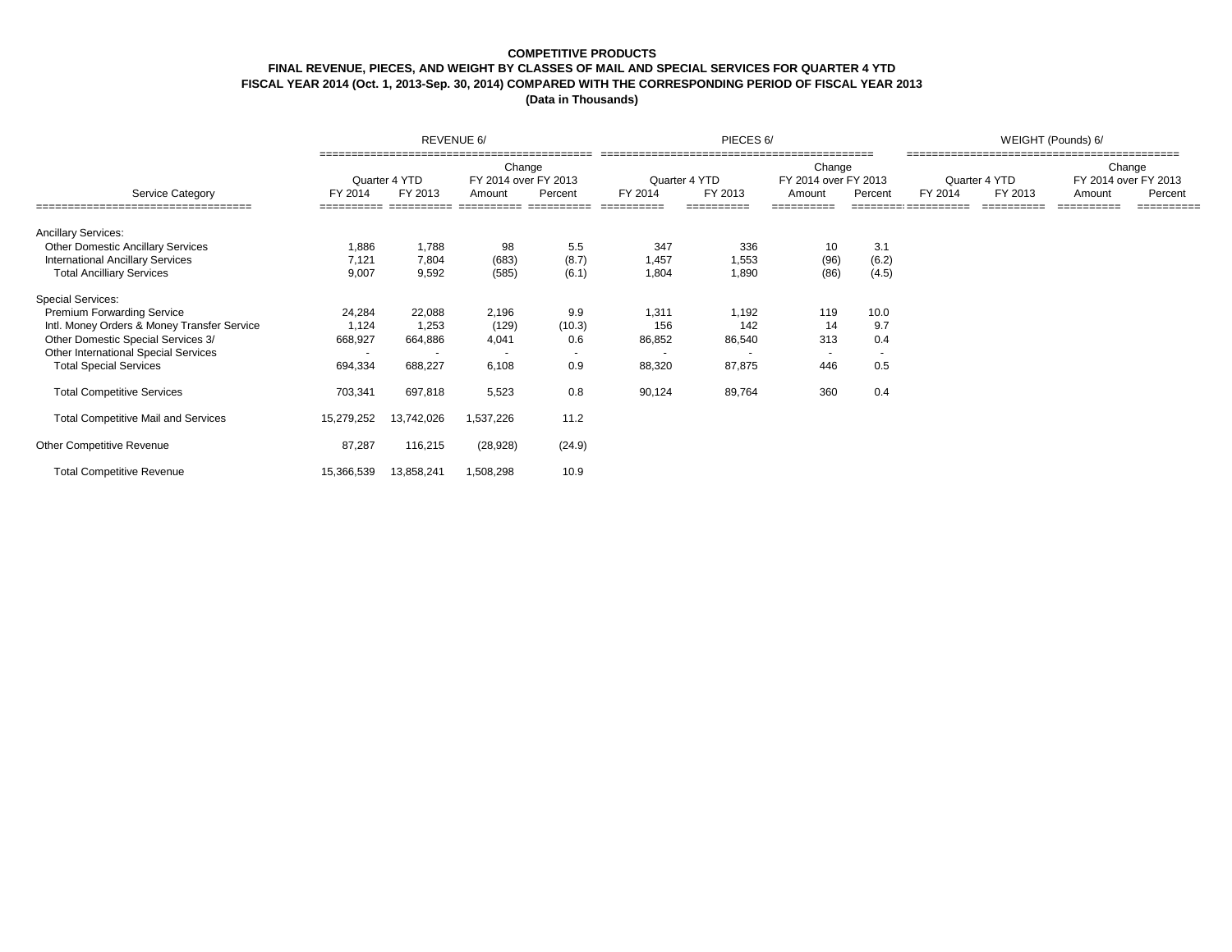### **COMPETITIVE PRODUCTS**

# **FINAL REVENUE, PIECES, AND WEIGHT BY CLASSES OF MAIL AND SPECIAL SERVICES FOR QUARTER 4 YTD**

**FISCAL YEAR 2014 (Oct. 1, 2013-Sep. 30, 2014) COMPARED WITH THE CORRESPONDING PERIOD OF FISCAL YEAR 2013**

|                                             |                          | REVENUE 6/               |                                          |            |                          | PIECES 6/ |                                          |                          | WEIGHT (Pounds) 6/ |                          |        |                                           |  |
|---------------------------------------------|--------------------------|--------------------------|------------------------------------------|------------|--------------------------|-----------|------------------------------------------|--------------------------|--------------------|--------------------------|--------|-------------------------------------------|--|
| <b>Service Category</b>                     | FY 2014                  | Quarter 4 YTD<br>FY 2013 | Change<br>FY 2014 over FY 2013<br>Amount | Percent    | Quarter 4 YTD<br>FY 2014 | FY 2013   | Change<br>FY 2014 over FY 2013<br>Amount | Percent                  | FY 2014            | Quarter 4 YTD<br>FY 2013 | Amount | Change<br>FY 2014 over FY 2013<br>Percent |  |
| =================================           |                          |                          | ==========                               | ========== |                          |           |                                          |                          |                    |                          |        | ==========                                |  |
| <b>Ancillary Services:</b>                  |                          |                          |                                          |            |                          |           |                                          |                          |                    |                          |        |                                           |  |
| <b>Other Domestic Ancillary Services</b>    | 1,886                    | 1,788                    | 98                                       | 5.5        | 347                      | 336       | 10                                       | 3.1                      |                    |                          |        |                                           |  |
| <b>International Ancillary Services</b>     | 7,121                    | 7,804                    | (683)                                    | (8.7)      | 1,457                    | 1,553     | (96)                                     | (6.2)                    |                    |                          |        |                                           |  |
| <b>Total Ancilliary Services</b>            | 9,007                    | 9,592                    | (585)                                    | (6.1)      | 1,804                    | 1,890     | (86)                                     | (4.5)                    |                    |                          |        |                                           |  |
| <b>Special Services:</b>                    |                          |                          |                                          |            |                          |           |                                          |                          |                    |                          |        |                                           |  |
| Premium Forwarding Service                  | 24,284                   | 22,088                   | 2,196                                    | 9.9        | 1.311                    | 1,192     | 119                                      | 10.0                     |                    |                          |        |                                           |  |
| Intl. Money Orders & Money Transfer Service | 1,124                    | 1,253                    | (129)                                    | (10.3)     | 156                      | 142       | 14                                       | 9.7                      |                    |                          |        |                                           |  |
| Other Domestic Special Services 3/          | 668,927                  | 664,886                  | 4,041                                    | 0.6        | 86,852                   | 86,540    | 313                                      | 0.4                      |                    |                          |        |                                           |  |
| Other International Special Services        | $\overline{\phantom{a}}$ |                          |                                          |            | $\overline{a}$           |           | $\overline{a}$                           | $\overline{\phantom{a}}$ |                    |                          |        |                                           |  |
| <b>Total Special Services</b>               | 694,334                  | 688,227                  | 6,108                                    | 0.9        | 88,320                   | 87,875    | 446                                      | 0.5                      |                    |                          |        |                                           |  |
| <b>Total Competitive Services</b>           | 703,341                  | 697,818                  | 5,523                                    | 0.8        | 90,124                   | 89,764    | 360                                      | 0.4                      |                    |                          |        |                                           |  |
| <b>Total Competitive Mail and Services</b>  | 15,279,252               | 13,742,026               | 1,537,226                                | 11.2       |                          |           |                                          |                          |                    |                          |        |                                           |  |
| Other Competitive Revenue                   | 87,287                   | 116,215                  | (28, 928)                                | (24.9)     |                          |           |                                          |                          |                    |                          |        |                                           |  |
| <b>Total Competitive Revenue</b>            | 15,366,539               | 13,858,241               | 1,508,298                                | 10.9       |                          |           |                                          |                          |                    |                          |        |                                           |  |